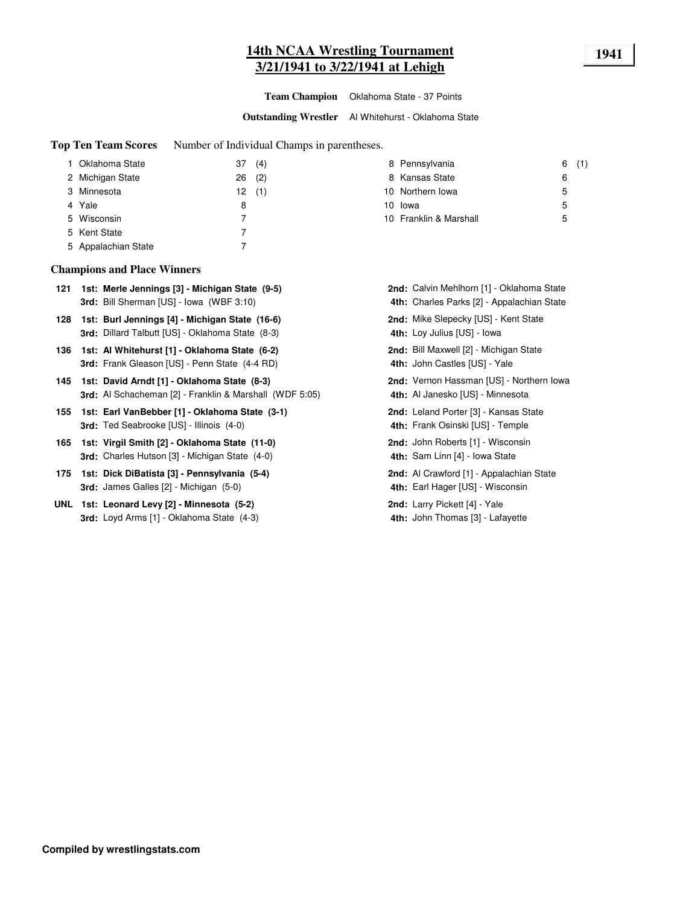## **14th NCAA Wrestling Tournament 1941 3/21/1941 to 3/22/1941 at Lehigh**

**Team Champion** Oklahoma State - 37 Points

**Outstanding Wrestler** Al Whitehurst - Oklahoma State

**Top Ten Team Scores** Number of Individual Champs in parentheses.

| 1 Oklahoma State    | 37 | (4)   | 8 Pennsylvania         | 6(1) |  |
|---------------------|----|-------|------------------------|------|--|
| 2 Michigan State    | 26 | (2)   | 8 Kansas State         | 6    |  |
| 3 Minnesota         |    | 12(1) | 10 Northern Iowa       | 5    |  |
| 4 Yale              | 8  |       | 10 lowa                | 5    |  |
| 5 Wisconsin         |    |       | 10 Franklin & Marshall | 5    |  |
| 5 Kent State        |    |       |                        |      |  |
| 5 Appalachian State |    |       |                        |      |  |

#### **Champions and Place Winners**

- 121 1st: Merle Jennings [3] Michigan State (9-5) **Calvin Mehlhorn [1] Oklahoma State** Calvin Mehlhorn [1] Oklahoma State 3rd: Bill Sherman [US] - Iowa (WBF 3:10)
- **128 Burl Jennings [4] Michigan State (16-6)** Mike Slepecky [US] Kent State **1st: 2nd: 3rd:** Dillard Talbutt [US] - Oklahoma State (8-3) **4th:**
- **136 1st: Al Whitehurst [1] Oklahoma State (6-2) <b>Bill Maxwell [2] Michigan State** Computer of Allen Computer Computer of Allen State **3rd:** Frank Gleason [US] - Penn State (4-4 RD) **4th:**
- 145 1st: David Arndt [1] Oklahoma State (8-3) **2nd: Vernon Hassman [US] Northern Iowa 3rd:** Al Schacheman [2] - Franklin & Marshall (WDF 5:05)
- **155 Earl VanBebber [1] Oklahoma State (3-1)** Leland Porter [3] Kansas State **1st: 2nd: 3rd:** Ted Seabrooke [US] - Illinois (4-0)
- **165 1st: Virgil Smith [2] Oklahoma State (11-0) <b>John Roberts [1] Wisconsin 3rd:** Charles Hutson [3] - Michigan State (4-0)
- 175 1st: Dick DiBatista [3] Pennsylvania (5-4) **Alignacian State Communist Communist Communist Communist Communist Communist Communist Communist Communist Communist Communist Communist Communist Communist Communist Commu 3rd:** James Galles [2] - Michigan (5-0) **4th:**
- **UNL 1st: Leonard Levy [2] Minnesota (5-2) Case Contract Larry Pickett [4] Yale 3rd:** Loyd Arms [1] - Oklahoma State (4-3) **4th:**
- 4th: Charles Parks [2] Appalachian State 4th: Loy Julius [US] - Iowa 4th: John Castles [US] - Yale 4th: Al Janesko [US] - Minnesota 4th: Frank Osinski [US] - Temple 4th: Sam Linn [4] - Iowa State 4th: Earl Hager [US] - Wisconsin 4th: John Thomas [3] - Lafayette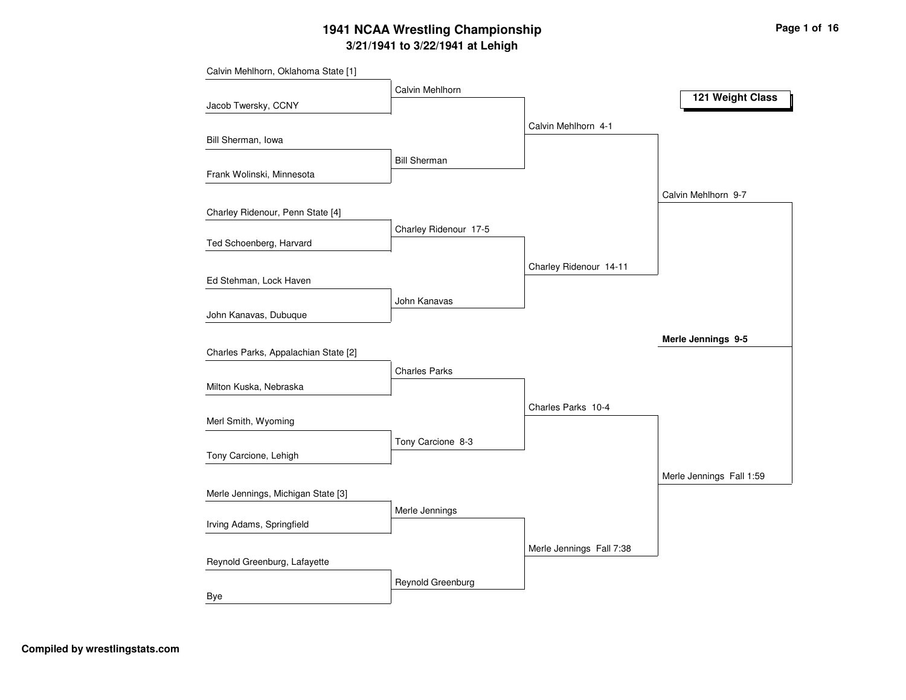|                                      | Calvin Mehlhorn       |                          | 121 Weight Class         |
|--------------------------------------|-----------------------|--------------------------|--------------------------|
| Jacob Twersky, CCNY                  |                       |                          |                          |
|                                      |                       | Calvin Mehlhorn 4-1      |                          |
| Bill Sherman, Iowa                   |                       |                          |                          |
| Frank Wolinski, Minnesota            | <b>Bill Sherman</b>   |                          |                          |
|                                      |                       |                          |                          |
| Charley Ridenour, Penn State [4]     |                       |                          | Calvin Mehlhorn 9-7      |
|                                      | Charley Ridenour 17-5 |                          |                          |
| Ted Schoenberg, Harvard              |                       |                          |                          |
|                                      |                       | Charley Ridenour 14-11   |                          |
| Ed Stehman, Lock Haven               |                       |                          |                          |
|                                      | John Kanavas          |                          |                          |
| John Kanavas, Dubuque                |                       |                          |                          |
|                                      |                       |                          | Merle Jennings 9-5       |
| Charles Parks, Appalachian State [2] |                       |                          |                          |
|                                      | <b>Charles Parks</b>  |                          |                          |
| Milton Kuska, Nebraska               |                       |                          |                          |
|                                      |                       | Charles Parks 10-4       |                          |
| Merl Smith, Wyoming                  |                       |                          |                          |
|                                      | Tony Carcione 8-3     |                          |                          |
| Tony Carcione, Lehigh                |                       |                          |                          |
|                                      |                       |                          | Merle Jennings Fall 1:59 |
| Merle Jennings, Michigan State [3]   |                       |                          |                          |
|                                      | Merle Jennings        |                          |                          |
| Irving Adams, Springfield            |                       |                          |                          |
| Reynold Greenburg, Lafayette         |                       | Merle Jennings Fall 7:38 |                          |
|                                      | Reynold Greenburg     |                          |                          |
| Bye                                  |                       |                          |                          |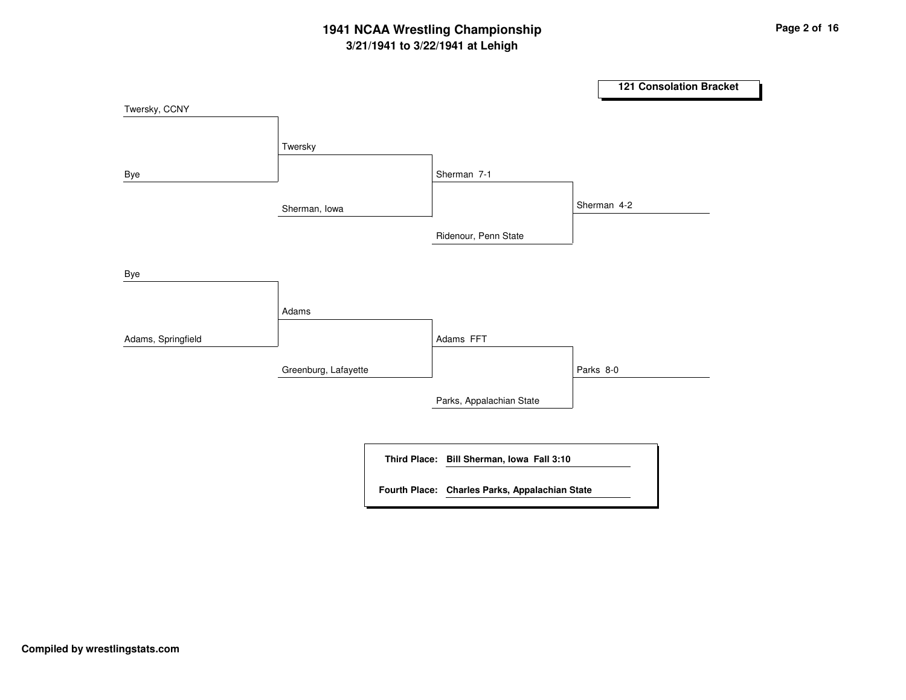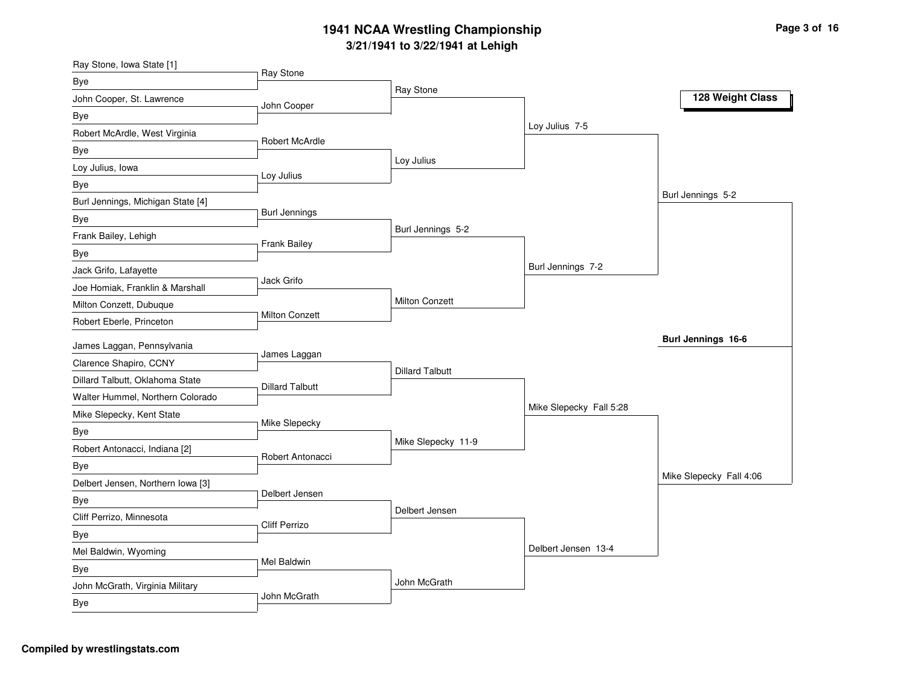| Ray Stone, Iowa State [1]                |                        |                        |                         |                           |
|------------------------------------------|------------------------|------------------------|-------------------------|---------------------------|
| Bye                                      | Ray Stone              |                        |                         |                           |
| John Cooper, St. Lawrence                | John Cooper            | Ray Stone              |                         | 128 Weight Class          |
| Bye                                      |                        |                        |                         |                           |
| Robert McArdle, West Virginia            |                        |                        | Loy Julius 7-5          |                           |
| Bye                                      | Robert McArdle         |                        |                         |                           |
| Loy Julius, Iowa                         |                        | Loy Julius             |                         |                           |
| Bye                                      | Loy Julius             |                        |                         |                           |
| Burl Jennings, Michigan State [4]        |                        |                        |                         | Burl Jennings 5-2         |
| Bye                                      | <b>Burl Jennings</b>   |                        |                         |                           |
| Frank Bailey, Lehigh                     |                        | Burl Jennings 5-2      |                         |                           |
| <b>Bye</b>                               | Frank Bailey           |                        |                         |                           |
| Jack Grifo, Lafayette                    |                        |                        | Burl Jennings 7-2       |                           |
| Joe Homiak, Franklin & Marshall          | Jack Grifo             |                        |                         |                           |
| Milton Conzett, Dubuque                  |                        | Milton Conzett         |                         |                           |
| Robert Eberle, Princeton                 | <b>Milton Conzett</b>  |                        |                         |                           |
| James Laggan, Pennsylvania               |                        |                        |                         | <b>Burl Jennings 16-6</b> |
| Clarence Shapiro, CCNY                   | James Laggan           |                        |                         |                           |
| Dillard Talbutt, Oklahoma State          |                        | <b>Dillard Talbutt</b> |                         |                           |
| Walter Hummel, Northern Colorado         | <b>Dillard Talbutt</b> |                        |                         |                           |
| Mike Slepecky, Kent State                |                        |                        | Mike Slepecky Fall 5:28 |                           |
| Bye                                      | Mike Slepecky          |                        |                         |                           |
| Robert Antonacci, Indiana [2]            |                        | Mike Slepecky 11-9     |                         |                           |
|                                          | Robert Antonacci       |                        |                         |                           |
| Bye<br>Delbert Jensen, Northern Iowa [3] |                        |                        |                         | Mike Slepecky Fall 4:06   |
|                                          | Delbert Jensen         |                        |                         |                           |
| Bye<br>Cliff Perrizo, Minnesota          |                        | Delbert Jensen         |                         |                           |
|                                          | <b>Cliff Perrizo</b>   |                        |                         |                           |
| Bye<br>Mel Baldwin, Wyoming              |                        |                        | Delbert Jensen 13-4     |                           |
|                                          | Mel Baldwin            |                        |                         |                           |
| Bye                                      |                        | John McGrath           |                         |                           |
| John McGrath, Virginia Military          | John McGrath           |                        |                         |                           |
| Bye                                      |                        |                        |                         |                           |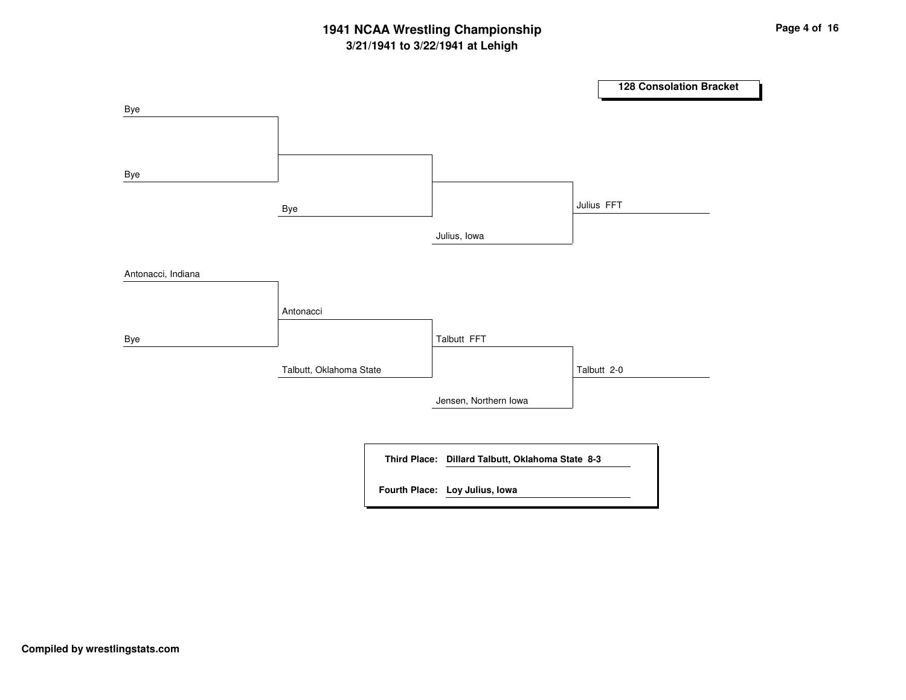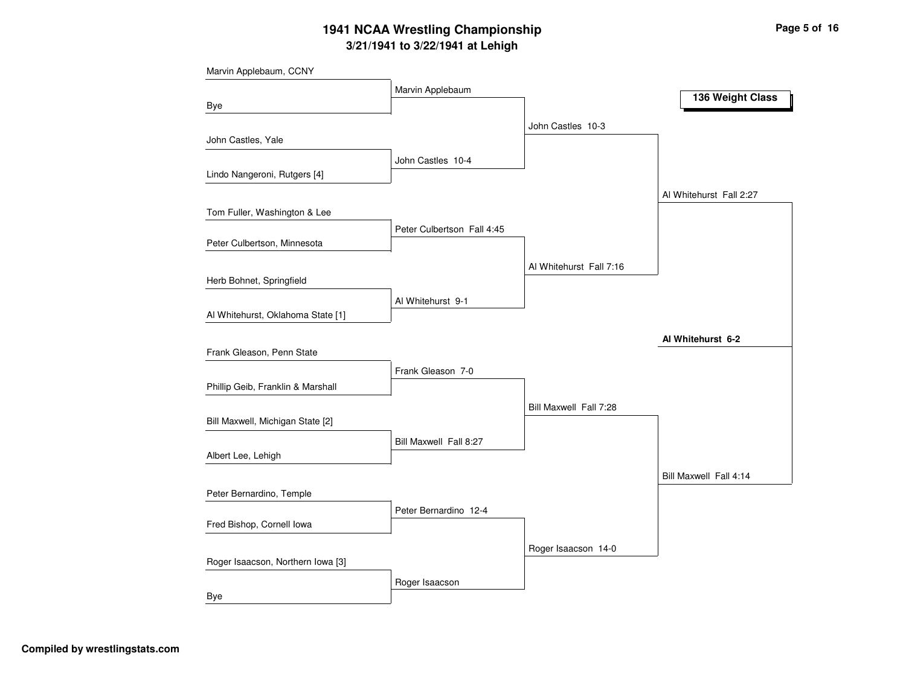| Marvin Applebaum, CCNY            |                            |                         |                         |
|-----------------------------------|----------------------------|-------------------------|-------------------------|
|                                   | Marvin Applebaum           |                         | 136 Weight Class        |
| Bye                               |                            |                         |                         |
|                                   |                            | John Castles 10-3       |                         |
| John Castles, Yale                |                            |                         |                         |
| Lindo Nangeroni, Rutgers [4]      | John Castles 10-4          |                         |                         |
|                                   |                            |                         |                         |
|                                   |                            |                         | Al Whitehurst Fall 2:27 |
| Tom Fuller, Washington & Lee      | Peter Culbertson Fall 4:45 |                         |                         |
| Peter Culbertson, Minnesota       |                            |                         |                         |
|                                   |                            | Al Whitehurst Fall 7:16 |                         |
| Herb Bohnet, Springfield          |                            |                         |                         |
|                                   | Al Whitehurst 9-1          |                         |                         |
| Al Whitehurst, Oklahoma State [1] |                            |                         |                         |
|                                   |                            |                         | Al Whitehurst 6-2       |
| Frank Gleason, Penn State         |                            |                         |                         |
|                                   | Frank Gleason 7-0          |                         |                         |
| Phillip Geib, Franklin & Marshall |                            |                         |                         |
|                                   |                            | Bill Maxwell Fall 7:28  |                         |
| Bill Maxwell, Michigan State [2]  |                            |                         |                         |
|                                   | Bill Maxwell Fall 8:27     |                         |                         |
| Albert Lee, Lehigh                |                            |                         |                         |
|                                   |                            |                         | Bill Maxwell Fall 4:14  |
| Peter Bernardino, Temple          |                            |                         |                         |
| Fred Bishop, Cornell Iowa         | Peter Bernardino 12-4      |                         |                         |
|                                   |                            |                         |                         |
| Roger Isaacson, Northern Iowa [3] |                            | Roger Isaacson 14-0     |                         |
|                                   |                            |                         |                         |
| Bye                               | Roger Isaacson             |                         |                         |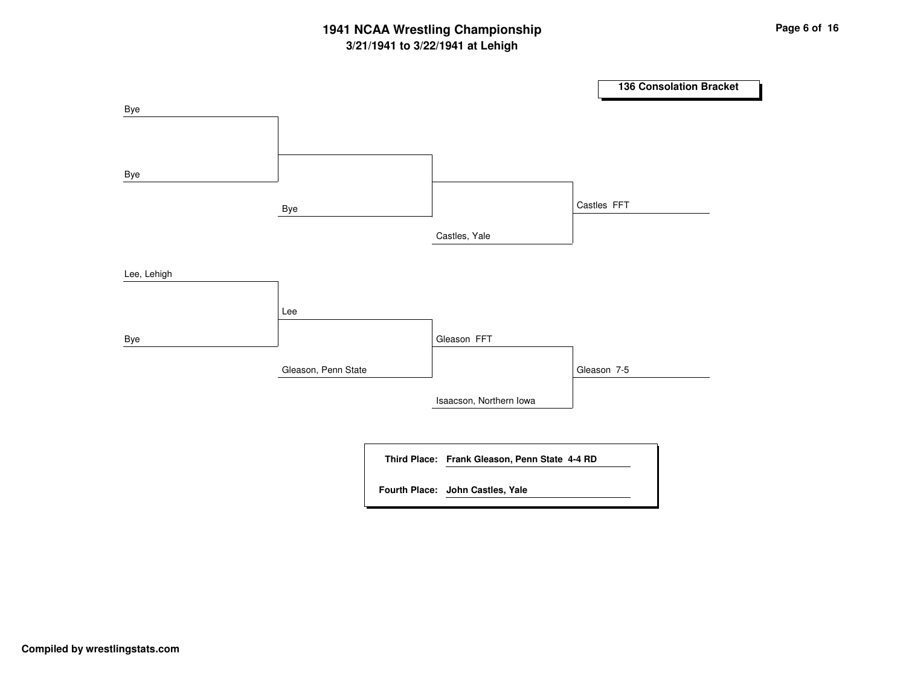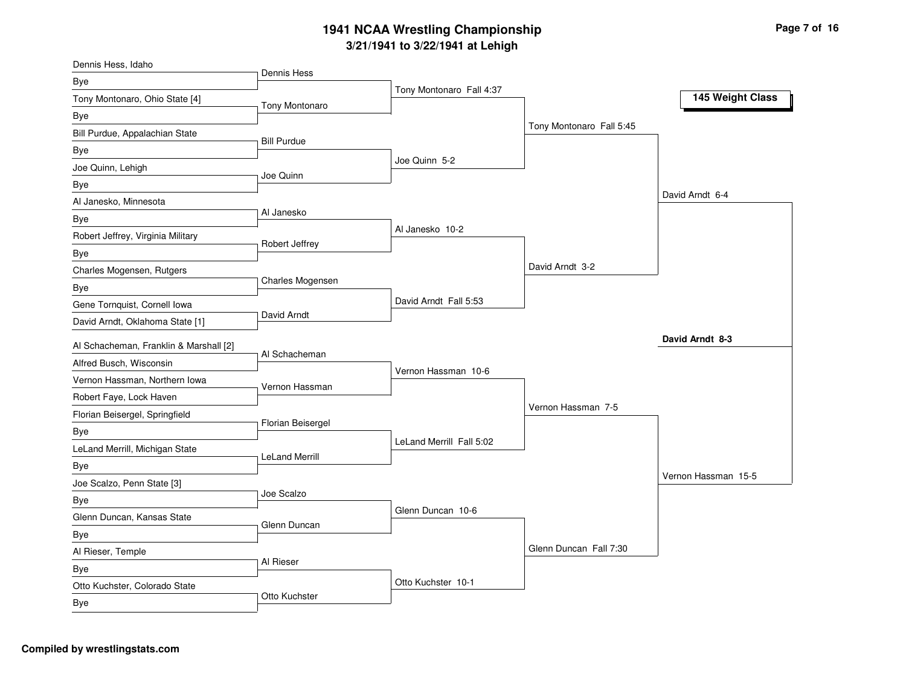| Dennis Hess, Idaho                                                |                       |                          |                          |                     |
|-------------------------------------------------------------------|-----------------------|--------------------------|--------------------------|---------------------|
| Bye                                                               | Dennis Hess           |                          |                          |                     |
| Tony Montonaro, Ohio State [4]                                    | Tony Montonaro        | Tony Montonaro Fall 4:37 |                          | 145 Weight Class    |
| Bye                                                               |                       |                          |                          |                     |
| Bill Purdue, Appalachian State                                    |                       |                          | Tony Montonaro Fall 5:45 |                     |
| Bye                                                               | <b>Bill Purdue</b>    |                          |                          |                     |
| Joe Quinn, Lehigh                                                 |                       | Joe Quinn 5-2            |                          |                     |
| Bye                                                               | Joe Quinn             |                          |                          |                     |
| Al Janesko, Minnesota                                             |                       |                          |                          | David Arndt 6-4     |
| Bye                                                               | Al Janesko            |                          |                          |                     |
| Robert Jeffrey, Virginia Military                                 |                       | Al Janesko 10-2          |                          |                     |
| Bye                                                               | Robert Jeffrey        |                          |                          |                     |
| Charles Mogensen, Rutgers                                         |                       |                          | David Arndt 3-2          |                     |
| Bye                                                               | Charles Mogensen      |                          |                          |                     |
| Gene Tornquist, Cornell Iowa                                      |                       | David Arndt Fall 5:53    |                          |                     |
| David Arndt, Oklahoma State [1]                                   | David Arndt           |                          |                          |                     |
|                                                                   |                       |                          |                          | David Arndt 8-3     |
| Al Schacheman, Franklin & Marshall [2]<br>Alfred Busch, Wisconsin | Al Schacheman         |                          |                          |                     |
|                                                                   |                       | Vernon Hassman 10-6      |                          |                     |
| Vernon Hassman, Northern Iowa                                     | Vernon Hassman        |                          |                          |                     |
| Robert Faye, Lock Haven                                           |                       |                          | Vernon Hassman 7-5       |                     |
| Florian Beisergel, Springfield                                    | Florian Beisergel     |                          |                          |                     |
| Bye                                                               |                       | LeLand Merrill Fall 5:02 |                          |                     |
| LeLand Merrill, Michigan State                                    | <b>LeLand Merrill</b> |                          |                          |                     |
| Bye                                                               |                       |                          |                          | Vernon Hassman 15-5 |
| Joe Scalzo, Penn State [3]                                        | Joe Scalzo            |                          |                          |                     |
| Bye                                                               |                       | Glenn Duncan 10-6        |                          |                     |
| Glenn Duncan, Kansas State                                        | Glenn Duncan          |                          |                          |                     |
| <b>Bye</b>                                                        |                       |                          |                          |                     |
| Al Rieser, Temple                                                 | Al Rieser             |                          | Glenn Duncan Fall 7:30   |                     |
| Bye                                                               |                       |                          |                          |                     |
| Otto Kuchster, Colorado State                                     | Otto Kuchster         | Otto Kuchster 10-1       |                          |                     |
| Bye                                                               |                       |                          |                          |                     |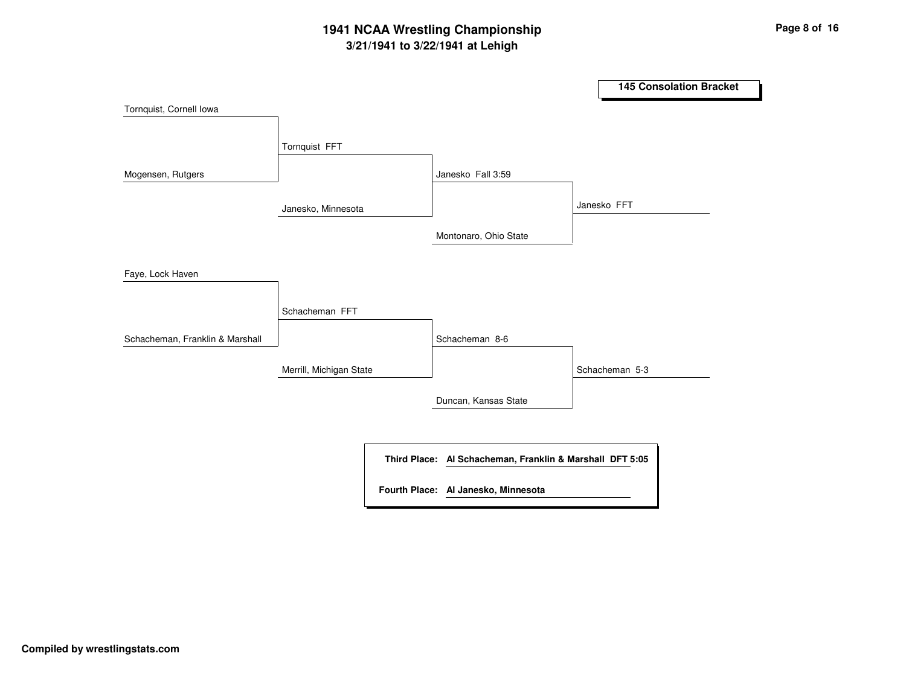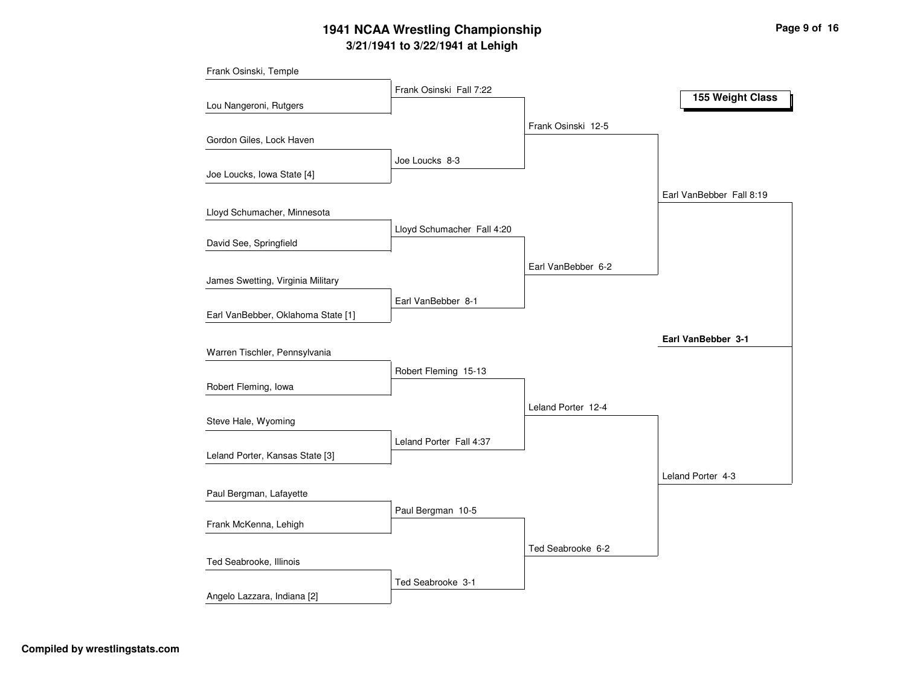|                                    | Frank Osinski Fall 7:22    |                    |                          |
|------------------------------------|----------------------------|--------------------|--------------------------|
| Lou Nangeroni, Rutgers             |                            |                    | 155 Weight Class         |
|                                    |                            | Frank Osinski 12-5 |                          |
| Gordon Giles, Lock Haven           |                            |                    |                          |
|                                    | Joe Loucks 8-3             |                    |                          |
| Joe Loucks, Iowa State [4]         |                            |                    |                          |
|                                    |                            |                    | Earl VanBebber Fall 8:19 |
| Lloyd Schumacher, Minnesota        | Lloyd Schumacher Fall 4:20 |                    |                          |
| David See, Springfield             |                            |                    |                          |
|                                    |                            | Earl VanBebber 6-2 |                          |
| James Swetting, Virginia Military  |                            |                    |                          |
|                                    | Earl VanBebber 8-1         |                    |                          |
| Earl VanBebber, Oklahoma State [1] |                            |                    |                          |
|                                    |                            |                    | Earl VanBebber 3-1       |
| Warren Tischler, Pennsylvania      |                            |                    |                          |
|                                    | Robert Fleming 15-13       |                    |                          |
| Robert Fleming, Iowa               |                            |                    |                          |
| Steve Hale, Wyoming                |                            | Leland Porter 12-4 |                          |
|                                    | Leland Porter Fall 4:37    |                    |                          |
| Leland Porter, Kansas State [3]    |                            |                    |                          |
|                                    |                            |                    | Leland Porter 4-3        |
| Paul Bergman, Lafayette            |                            |                    |                          |
|                                    | Paul Bergman 10-5          |                    |                          |
| Frank McKenna, Lehigh              |                            |                    |                          |
|                                    |                            | Ted Seabrooke 6-2  |                          |
| Ted Seabrooke, Illinois            |                            |                    |                          |
|                                    | Ted Seabrooke 3-1          |                    |                          |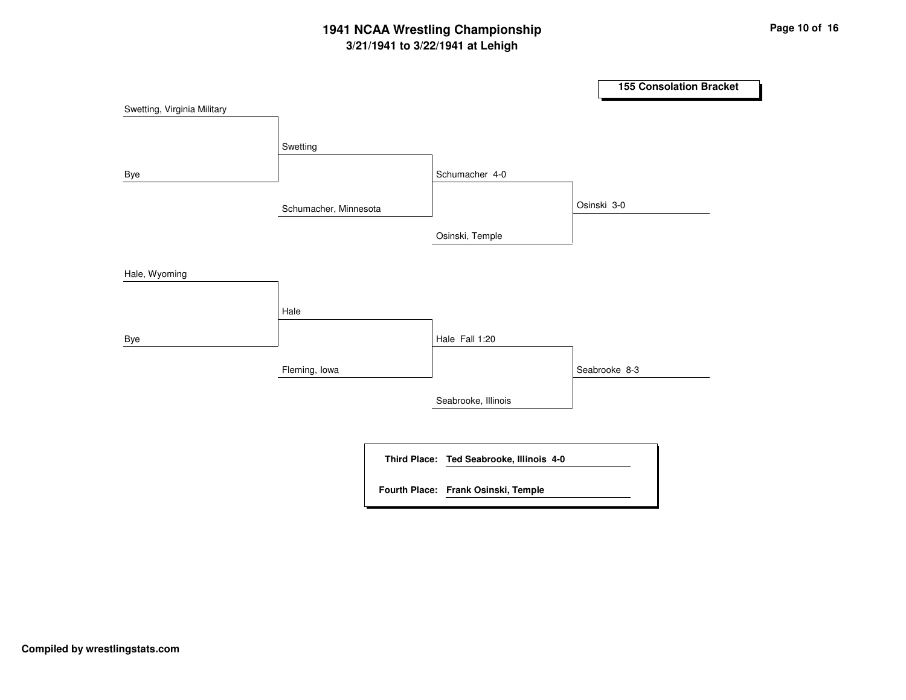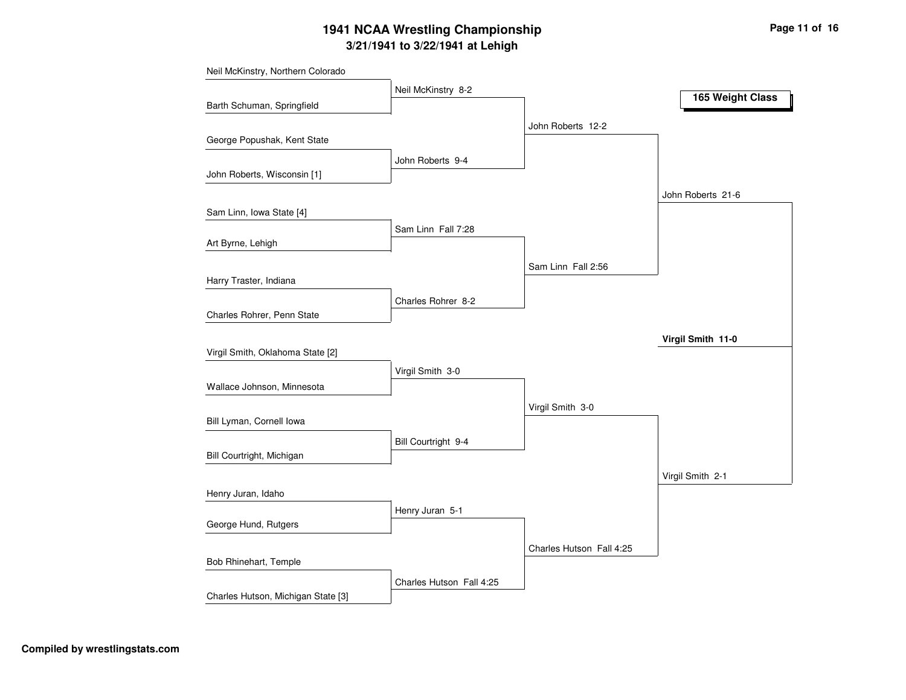| Neil McKinstry, Northern Colorado  |                          |                          |                   |
|------------------------------------|--------------------------|--------------------------|-------------------|
|                                    | Neil McKinstry 8-2       |                          | 165 Weight Class  |
| Barth Schuman, Springfield         |                          |                          |                   |
|                                    |                          | John Roberts 12-2        |                   |
| George Popushak, Kent State        |                          |                          |                   |
|                                    | John Roberts 9-4         |                          |                   |
| John Roberts, Wisconsin [1]        |                          |                          |                   |
|                                    |                          |                          | John Roberts 21-6 |
| Sam Linn, Iowa State [4]           |                          |                          |                   |
| Art Byrne, Lehigh                  | Sam Linn Fall 7:28       |                          |                   |
|                                    |                          |                          |                   |
|                                    |                          | Sam Linn Fall 2:56       |                   |
| Harry Traster, Indiana             |                          |                          |                   |
|                                    | Charles Rohrer 8-2       |                          |                   |
| Charles Rohrer, Penn State         |                          |                          |                   |
|                                    |                          |                          | Virgil Smith 11-0 |
| Virgil Smith, Oklahoma State [2]   |                          |                          |                   |
|                                    | Virgil Smith 3-0         |                          |                   |
| Wallace Johnson, Minnesota         |                          |                          |                   |
|                                    |                          | Virgil Smith 3-0         |                   |
| Bill Lyman, Cornell Iowa           |                          |                          |                   |
| Bill Courtright, Michigan          | Bill Courtright 9-4      |                          |                   |
|                                    |                          |                          |                   |
|                                    |                          |                          | Virgil Smith 2-1  |
| Henry Juran, Idaho                 |                          |                          |                   |
| George Hund, Rutgers               | Henry Juran 5-1          |                          |                   |
|                                    |                          |                          |                   |
| Bob Rhinehart, Temple              |                          | Charles Hutson Fall 4:25 |                   |
|                                    |                          |                          |                   |
| Charles Hutson, Michigan State [3] | Charles Hutson Fall 4:25 |                          |                   |
|                                    |                          |                          |                   |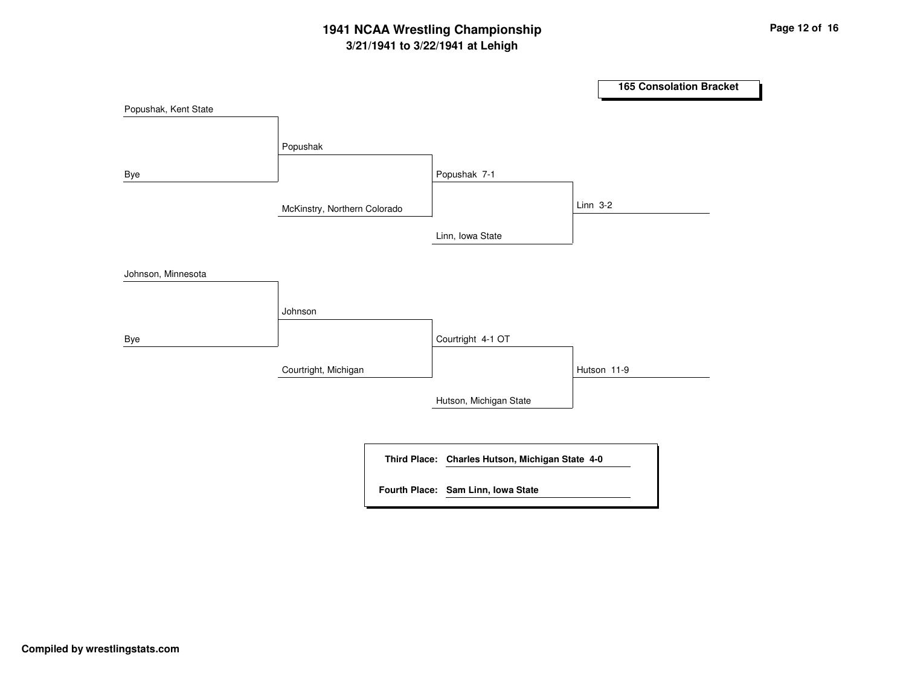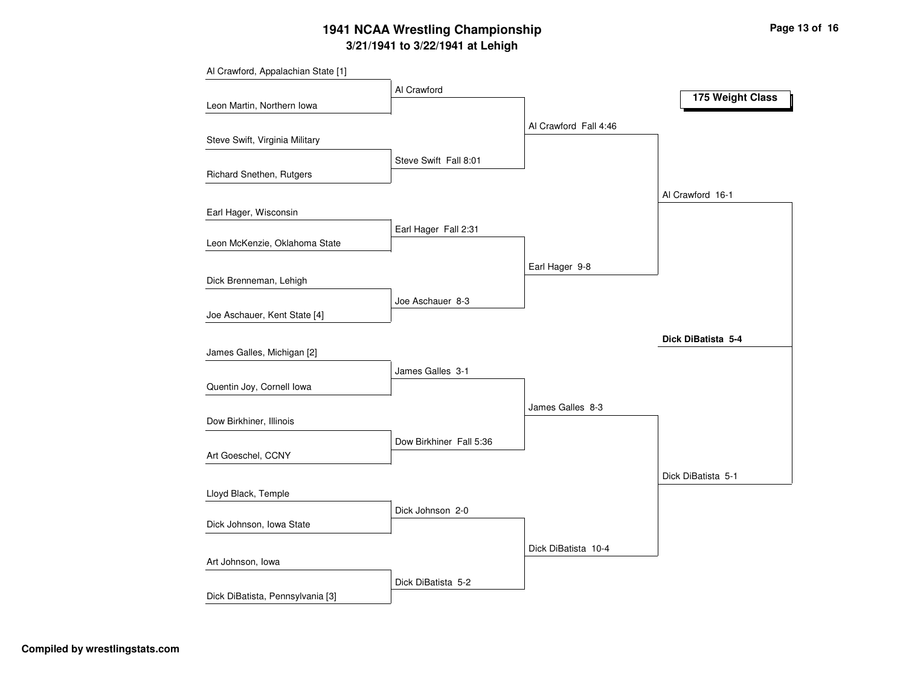|                                  | Al Crawford             |                       | 175 Weight Class   |
|----------------------------------|-------------------------|-----------------------|--------------------|
| Leon Martin, Northern Iowa       |                         |                       |                    |
|                                  |                         | Al Crawford Fall 4:46 |                    |
| Steve Swift, Virginia Military   |                         |                       |                    |
|                                  | Steve Swift Fall 8:01   |                       |                    |
| Richard Snethen, Rutgers         |                         |                       |                    |
|                                  |                         |                       | Al Crawford 16-1   |
| Earl Hager, Wisconsin            |                         |                       |                    |
|                                  | Earl Hager Fall 2:31    |                       |                    |
| Leon McKenzie, Oklahoma State    |                         |                       |                    |
|                                  |                         | Earl Hager 9-8        |                    |
| Dick Brenneman, Lehigh           |                         |                       |                    |
|                                  | Joe Aschauer 8-3        |                       |                    |
| Joe Aschauer, Kent State [4]     |                         |                       |                    |
|                                  |                         |                       | Dick DiBatista 5-4 |
| James Galles, Michigan [2]       |                         |                       |                    |
|                                  | James Galles 3-1        |                       |                    |
| Quentin Joy, Cornell Iowa        |                         |                       |                    |
|                                  |                         | James Galles 8-3      |                    |
| Dow Birkhiner, Illinois          |                         |                       |                    |
|                                  | Dow Birkhiner Fall 5:36 |                       |                    |
| Art Goeschel, CCNY               |                         |                       |                    |
|                                  |                         |                       | Dick DiBatista 5-1 |
| Lloyd Black, Temple              |                         |                       |                    |
|                                  | Dick Johnson 2-0        |                       |                    |
| Dick Johnson, Iowa State         |                         |                       |                    |
|                                  |                         | Dick DiBatista 10-4   |                    |
| Art Johnson, Iowa                |                         |                       |                    |
|                                  | Dick DiBatista 5-2      |                       |                    |
| Dick DiBatista, Pennsylvania [3] |                         |                       |                    |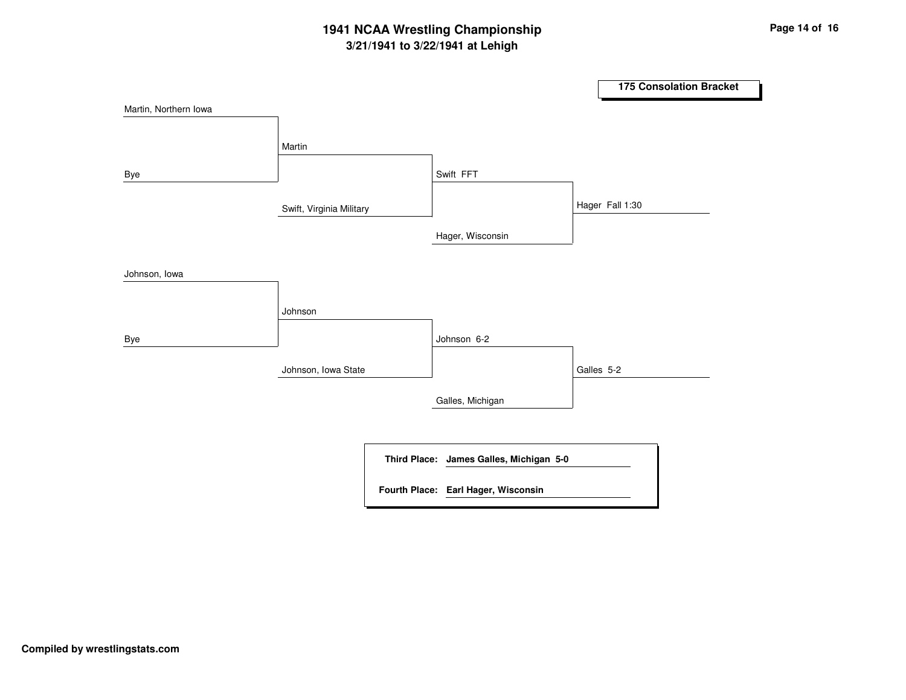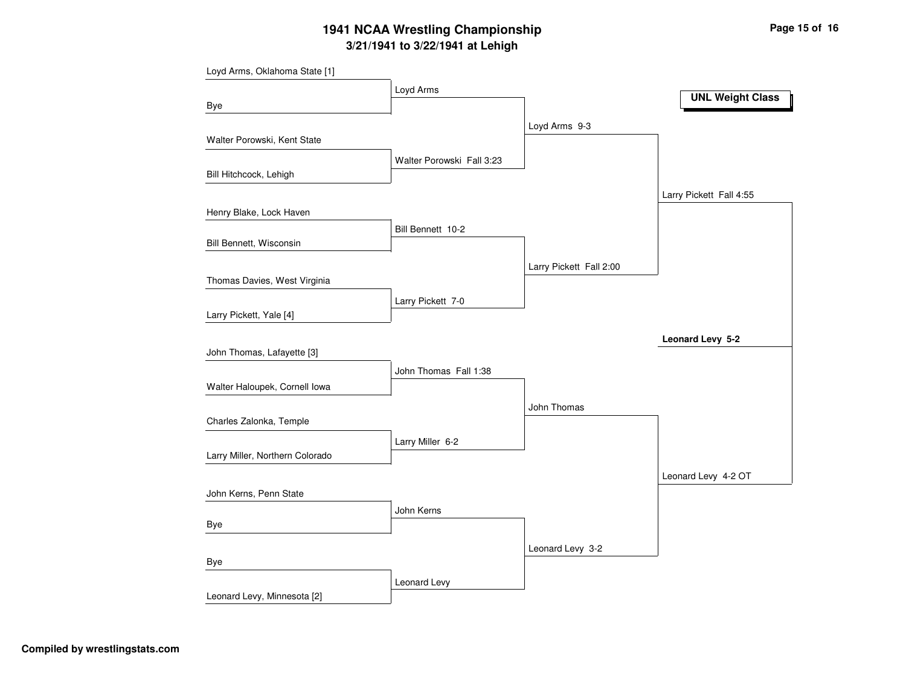|                                 | Loyd Arms                 |                         | <b>UNL Weight Class</b> |
|---------------------------------|---------------------------|-------------------------|-------------------------|
| Bye                             |                           |                         |                         |
|                                 |                           | Loyd Arms 9-3           |                         |
| Walter Porowski, Kent State     |                           |                         |                         |
|                                 | Walter Porowski Fall 3:23 |                         |                         |
| Bill Hitchcock, Lehigh          |                           |                         |                         |
|                                 |                           |                         | Larry Pickett Fall 4:55 |
| Henry Blake, Lock Haven         |                           |                         |                         |
|                                 | Bill Bennett 10-2         |                         |                         |
| Bill Bennett, Wisconsin         |                           |                         |                         |
|                                 |                           | Larry Pickett Fall 2:00 |                         |
| Thomas Davies, West Virginia    |                           |                         |                         |
|                                 | Larry Pickett 7-0         |                         |                         |
| Larry Pickett, Yale [4]         |                           |                         |                         |
|                                 |                           |                         | Leonard Levy 5-2        |
| John Thomas, Lafayette [3]      |                           |                         |                         |
|                                 | John Thomas Fall 1:38     |                         |                         |
| Walter Haloupek, Cornell Iowa   |                           |                         |                         |
|                                 |                           | John Thomas             |                         |
| Charles Zalonka, Temple         |                           |                         |                         |
|                                 | Larry Miller 6-2          |                         |                         |
| Larry Miller, Northern Colorado |                           |                         |                         |
|                                 |                           |                         | Leonard Levy 4-2 OT     |
| John Kerns, Penn State          |                           |                         |                         |
|                                 | John Kerns                |                         |                         |
| Bye                             |                           |                         |                         |
|                                 |                           | Leonard Levy 3-2        |                         |
| Bye                             |                           |                         |                         |
|                                 |                           |                         |                         |
| Leonard Levy, Minnesota [2]     | Leonard Levy              |                         |                         |